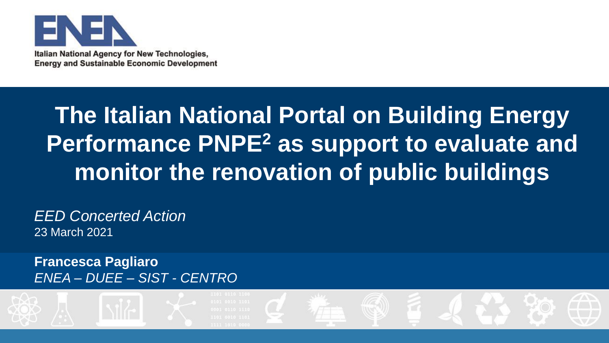

Italian National Agency for New Technologies, **Energy and Sustainable Economic Development** 

# **The Italian National Portal on Building Energy Performance PNPE<sup>2</sup> as support to evaluate and monitor the renovation of public buildings**

*EED Concerted Action*  23 March 2021

**Francesca Pagliaro** *ENEA – DUEE – SIST - CENTRO*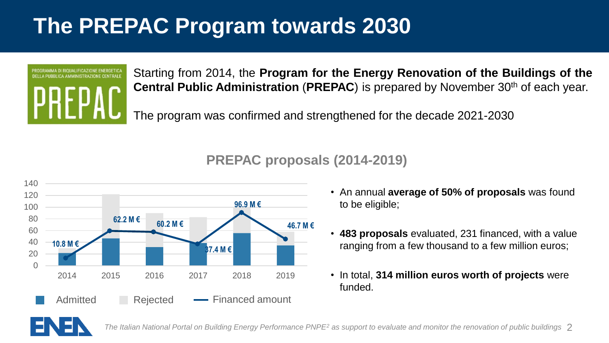# **The PREPAC Program towards 2030**



Starting from 2014, the **Program for the Energy Renovation of the Buildings of the Central Public Administration** (**PREPAC**) is prepared by November 30th of each year.

The program was confirmed and strengthened for the decade 2021-2030

#### **PREPAC proposals (2014-2019)**



- An annual **average of 50% of proposals** was found to be eligible;
- **483 proposals** evaluated, 231 financed, with a value ranging from a few thousand to a few million euros;
- In total, **314 million euros worth of projects** were funded.

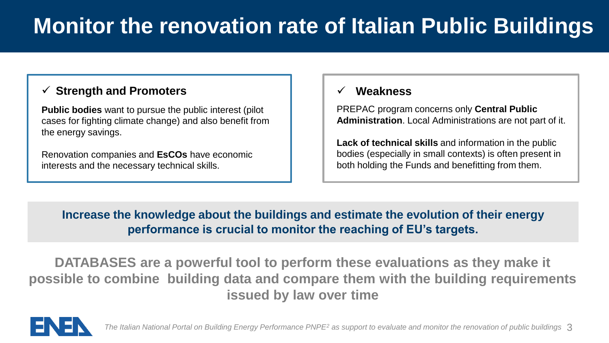## **Monitor the renovation rate of Italian Public Buildings**

#### ✓ **Strength and Promoters** ✓ **Weakness**

**Public bodies** want to pursue the public interest (pilot cases for fighting climate change) and also benefit from the energy savings.

Renovation companies and **EsCOs** have economic interests and the necessary technical skills.

PREPAC program concerns only **Central Public Administration**. Local Administrations are not part of it.

**Lack of technical skills** and information in the public bodies (especially in small contexts) is often present in both holding the Funds and benefitting from them.

#### **Increase the knowledge about the buildings and estimate the evolution of their energy performance is crucial to monitor the reaching of EU's targets.**

**DATABASES are a powerful tool to perform these evaluations as they make it possible to combine building data and compare them with the building requirements issued by law over time**

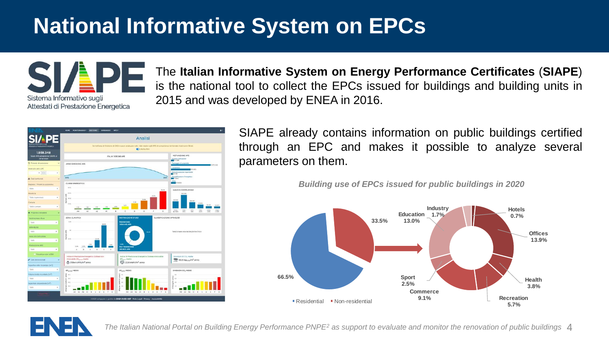### **National Informative System on EPCs**



The **Italian Informative System on Energy Performance Certificates** (**SIAPE**) is the national tool to collect the EPCs issued for buildings and building units in 2015 and was developed by ENEA in 2016.



SIAPE already contains information on public buildings certified through an EPC and makes it possible to analyze several parameters on them.

*Building use of EPCs issued for public buildings in 2020*



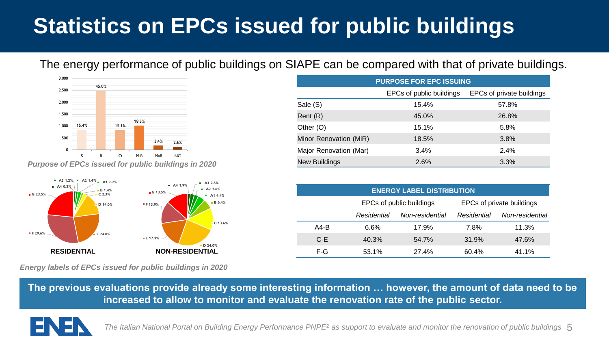# **Statistics on EPCs issued for public buildings**

The energy performance of public buildings on SIAPE can be compared with that of private buildings.



*Purpose of EPCs issued for public buildings in 2020*



**PURPOSE FOR EPC ISSUING** EPCs of public buildings EPCs of private buildings Sale (S) 15.4% 57.8% Rent (R) 45.0% 26.8% Other (O) 15.1% 5.8% Minor Renovation (MiR) 18.5% 3.8% Major Renovation (Mar) 3.4% 3.4% 2.4% New Buildings 2.6% 3.3%

| <b>ENERGY LABEL DISTRIBUTION</b> |                          |                 |                           |                 |
|----------------------------------|--------------------------|-----------------|---------------------------|-----------------|
|                                  | EPCs of public buildings |                 | EPCs of private buildings |                 |
|                                  | Residential              | Non-residential | Residential               | Non-residential |
| A4-B                             | 6.6%                     | 17.9%           | 7.8%                      | 11.3%           |
| C E                              | 40.3%                    | 54.7%           | 31.9%                     | 47.6%           |
| F-G                              | 53.1%                    | 27.4%           | 60.4%                     | 41.1%           |

*Energy labels of EPCs issued for public buildings in 2020*

**The previous evaluations provide already some interesting information … however, the amount of data need to be increased to allow to monitor and evaluate the renovation rate of the public sector.**

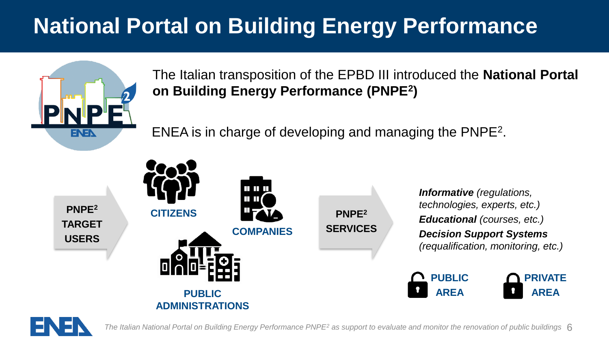# **National Portal on Building Energy Performance**



The Italian transposition of the EPBD III introduced the **National Portal on Building Energy Performance (PNPE<sup>2</sup> )**

ENEA is in charge of developing and managing the PNPE<sup>2</sup> .



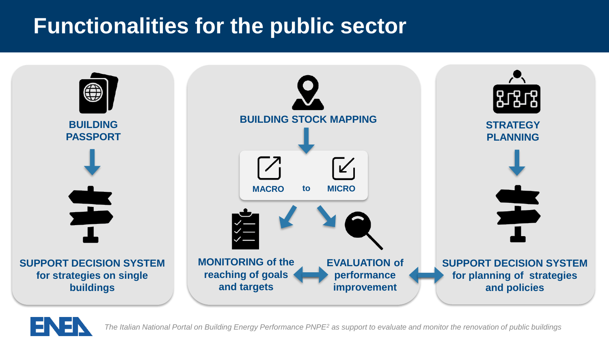### **Functionalities for the public sector**



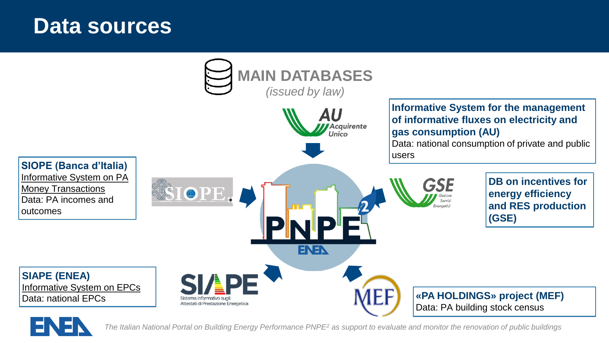### **Data sources**



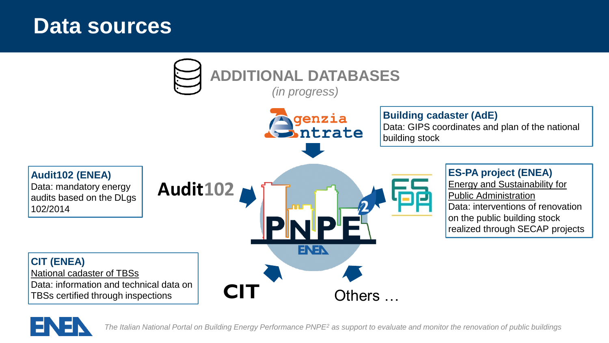### **Data sources**



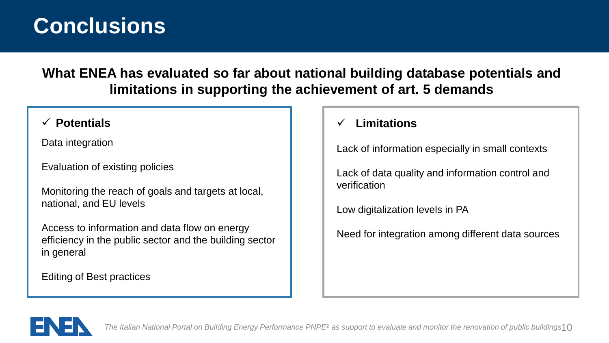### **Conclusions**

**What ENEA has evaluated so far about national building database potentials and limitations in supporting the achievement of art. 5 demands**

Data integration

Evaluation of existing policies

Monitoring the reach of goals and targets at local, national, and EU levels

Access to information and data flow on energy efficiency in the public sector and the building sector in general

Editing of Best practices

#### ✓ **Potentials** ✓ **Limitations**

Lack of information especially in small contexts

Lack of data quality and information control and verification

Low digitalization levels in PA

Need for integration among different data sources